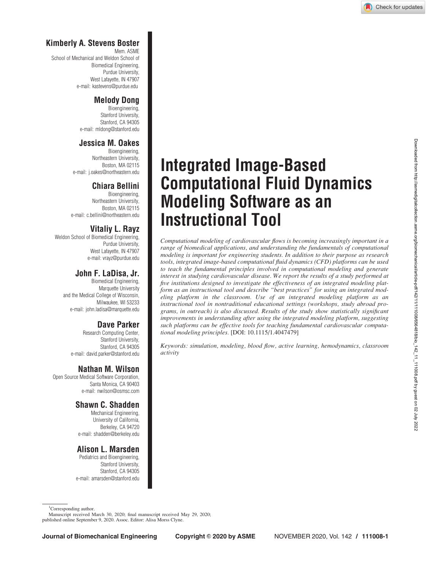## <span id="page-0-0"></span>Kimberly A. Stevens Boster

Mem. ASME School of Mechanical and Weldon School of Biomedical Engineering, Purdue University, West Lafayette, IN 47907 e-mail: kastevens@purdue.edu

### Melody Dong

Bioengineering, Stanford University, Stanford, CA 94305 e-mail: mldong@stanford.edu

# Jessica M. Oakes

Bioengineering, Northeastern University, Boston, MA 02115 e-mail: j.oakes@northeastern.edu

# Chiara Bellini

Bioengineering, Northeastern University, Boston, MA 02115 e-mail: c.bellini@northeastern.edu

# Vitaliy L. Rayz

Weldon School of Biomedical Engineering, Purdue University, West Lafayette, IN 47907 e-mail: vrayz@purdue.edu

## John F. LaDisa, Jr.

Biomedical Engineering, Marquette University and the Medical College of Wisconsin, Milwaukee, WI 53233 e-mail: john.ladisa@marquette.edu

## Dave Parker

Research Computing Center, Stanford University, Stanford, CA 94305 e-mail: david.parker@stanford.edu

## Nathan M. Wilson

Open Source Medical Software Corporation, Santa Monica, CA 90403 e-mail: nwilson@osmsc.com

## Shawn C. Shadden

Mechanical Engineering, University of California, Berkeley, CA 94720 e-mail: shadden@berkeley.edu

## Alison L. Marsden

Pediatrics and Bioengineering, Stanford University, Stanford, CA 94305 e-mail: amarsden@stanford.edu

# Integrated Image-Based Computational Fluid Dynamics Modeling Software as an Instructional Tool

Computational modeling of cardiovascular flows is becoming increasingly important in a range of biomedical applications, and understanding the fundamentals of computational modeling is important for engineering students. In addition to their purpose as research tools, integrated image-based computational fluid dynamics (CFD) platforms can be used to teach the fundamental principles involved in computational modeling and generate interest in studying cardiovascular disease. We report the results of a study performed at five institutions designed to investigate the effectiveness of an integrated modeling platform as an instructional tool and describe "best practices" for using an integrated modeling platform in the classroom. Use of an integrated modeling platform as an instructional tool in nontraditional educational settings (workshops, study abroad programs, in outreach) is also discussed. Results of the study show statistically significant improvements in understanding after using the integrated modeling platform, suggesting such platforms can be effective tools for teaching fundamental cardiovascular computational modeling principles. [DOI: 10.1115/1.4047479]

Keywords: simulation, modeling, blood flow, active learning, hemodynamics, classroom activity

Manuscript received March 30, 2020; final manuscript received May 29, 2020; published online September 9, 2020. Assoc. Editor: Alisa Morss Clyne.

<sup>&</sup>lt;sup>1</sup>Corresponding author.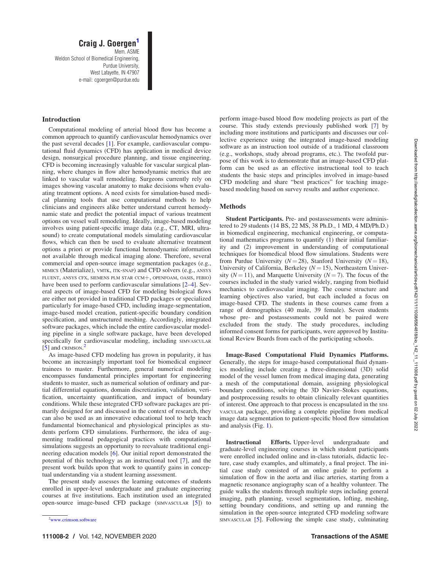### Craig J. Goergen<sup>1</sup> Mem. ASME Weldon School of Biomedical Engineering,

Purdue University, West Lafayette, IN 47907 e-mail: cgoergen@purdue.edu

### Introduction

Computational modeling of arterial blood flow has become a common approach to quantify cardiovascular hemodynamics over the past several decades [[1](#page-5-0)]. For example, cardiovascular computational fluid dynamics (CFD) has application in medical device design, nonsurgical procedure planning, and tissue engineering. CFD is becoming increasingly valuable for vascular surgical planning, where changes in flow alter hemodynamic metrics that are linked to vascular wall remodeling. Surgeons currently rely on images showing vascular anatomy to make decisions when evaluating treatment options. A need exists for simulation-based medical planning tools that use computational methods to help clinicians and engineers alike better understand current hemodynamic state and predict the potential impact of various treatment options on vessel wall remodeling. Ideally, image-based modeling involves using patient-specific image data (e.g., CT, MRI, ultrasound) to create computational models simulating cardiovascular flows, which can then be used to evaluate alternative treatment options a priori or provide functional hemodynamic information not available through medical imaging alone. Therefore, several commercial and open-source image segmentation packages (e.g., MIMICS (Materialize), VMTK, ITK-SNAP) and CFD solvers (e.g., ANSYS FLUENT, ANSYS CFX, SIEMENS PLM STAR CCM<sup>+</sup>, OPENFOAM, OASIS, FEBIO) have been used to perform cardiovascular simulations [\[2–4\]](#page-6-0). Several aspects of image-based CFD for modeling biological flows are either not provided in traditional CFD packages or specialized particularly for image-based CFD, including image-segmentation, image-based model creation, patient-specific boundary condition specification, and unstructured meshing. Accordingly, integrated software packages, which include the entire cardiovascular modeling pipeline in a single software package, have been developed specifically for cardiovascular modeling, including SIMVASCULAR  $\left[5\right]$  and CRIMSON.<sup>2</sup>

As image-based CFD modeling has grown in popularity, it has become an increasingly important tool for biomedical engineer trainees to master. Furthermore, general numerical modeling encompasses fundamental principles important for engineering students to master, such as numerical solution of ordinary and partial differential equations, domain discretization, validation, verification, uncertainty quantification, and impact of boundary conditions. While these integrated CFD software packages are primarily designed for and discussed in the context of research, they can also be used as an innovative educational tool to help teach fundamental biomechanical and physiological principles as students perform CFD simulations. Furthermore, the idea of augmenting traditional pedagogical practices with computational simulations suggests an opportunity to reevaluate traditional engineering education models [[6](#page-6-0)]. Our initial report demonstrated the potential of this technology as an instructional tool [\[7\]](#page-6-0), and the present work builds upon that work to quantify gains in conceptual understanding via a student learning assessment.

The present study assesses the learning outcomes of students enrolled in upper-level undergraduate and graduate engineering courses at five institutions. Each institution used an integrated open-source image-based CFD package (SIMVASCULAR [[5](#page-6-0)]) to

perform image-based blood flow modeling projects as part of the course. This study extends previously published work [\[7\]](#page-6-0) by including more institutions and participants and discusses our collective experience using the integrated image-based modeling software as an instruction tool outside of a traditional classroom (e.g., workshops, study abroad programs, etc.). The twofold purpose of this work is to demonstrate that an image-based CFD platform can be used as an effective instructional tool to teach students the basic steps and principles involved in image-based CFD modeling and share "best practices" for teaching imagebased modeling based on survey results and author experience.

### Methods

Student Participants. Pre- and postassessments were administered to 29 students (14 BS, 22 MS, 38 Ph.D., 1 MD, 4 MD/Ph.D.) in biomedical engineering, mechanical engineering, or computational mathematics programs to quantify (1) their initial familiarity and (2) improvement in understanding of computational techniques for biomedical blood flow simulations. Students were from Purdue University ( $N = 28$ ), Stanford University ( $N = 18$ ), University of California, Berkeley ( $N = 15$ ), Northeastern University ( $N = 11$ ), and Marquette University ( $N = 7$ ). The focus of the courses included in the study varied widely, ranging from biofluid mechanics to cardiovascular imaging. The course structure and learning objectives also varied, but each included a focus on image-based CFD. The students in these courses came from a range of demographics (40 male, 39 female). Seven students whose pre- and postassessments could not be paired were excluded from the study. The study procedures, including informed consent forms for participants, were approved by Institutional Review Boards from each of the participating schools.

Image-Based Computational Fluid Dynamics Platforms. Generally, the steps for image-based computational fluid dynamics modeling include creating a three-dimensional (3D) solid model of the vessel lumen from medical imaging data, generating a mesh of the computational domain, assigning physiological boundary conditions, solving the 3D Navier–Stokes equations, and postprocessing results to obtain clinically relevant quantities of interest. One approach to that process is encapsulated in the SIM-VASCULAR package, providing a complete pipeline from medical image data segmentation to patient-specific blood flow simulation and analysis (Fig. [1\)](#page-2-0).

Instructional Efforts. Upper-level undergraduate and graduate-level engineering courses in which student participants were enrolled included online and in-class tutorials, didactic lecture, case study examples, and ultimately, a final project. The initial case study consisted of an online guide to perform a simulation of flow in the aorta and iliac arteries, starting from a magnetic resonance angiography scan of a healthy volunteer. The guide walks the students through multiple steps including general imaging, path planning, vessel segmentation, lofting, meshing, setting boundary conditions, and setting up and running the simulation in the open-source integrated CFD modeling software  $SMVASCULAR [5]$  $SMVASCULAR [5]$ . Following the simple case study, culminating

 $2$ <www.crimson.software>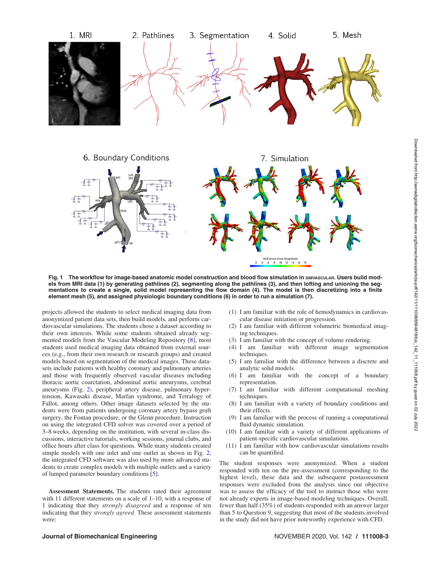<span id="page-2-0"></span>



Fig. 1 The workflow for image-based anatomic model construction and blood flow simulation in SIMVASCULAR. Users build models from MRI data (1) by generating pathlines (2), segmenting along the pathlines (3), and then lofting and unioning the segmentations to create a single, solid model representing the flow domain (4). The model is then discretizing into a finite element mesh (5), and assigned physiologic boundary conditions (6) in order to run a simulation (7).

projects allowed the students to select medical imaging data from anonymized patient data sets, then build models, and perform cardiovascular simulations. The students chose a dataset according to their own interests. While some students obtained already segmented models from the Vascular Modeling Repository [[8\]](#page-6-0), most students used medical imaging data obtained from external sources (e.g., from their own research or research groups) and created models based on segmentation of the medical images. These datasets include patients with healthy coronary and pulmonary arteries and those with frequently observed vascular diseases including thoracic aortic coarctation, abdominal aortic aneurysms, cerebral aneurysms (Fig. [2\)](#page-3-0), peripheral artery disease, pulmonary hypertension, Kawasaki disease, Marfan syndrome, and Tetralogy of Fallot, among others. Other image datasets selected by the students were from patients undergoing coronary artery bypass graft surgery, the Fontan procedure, or the Glenn procedure. Instruction on using the integrated CFD solver was covered over a period of 3–8 weeks, depending on the institution, with several in-class discussions, interactive tutorials, working sessions, journal clubs, and office hours after class for questions. While many students created simple models with one inlet and one outlet as shown in Fig. [2,](#page-3-0) the integrated CFD software was also used by more advanced students to create complex models with multiple outlets and a variety of lumped parameter boundary conditions [[5](#page-6-0)].

Assessment Statements. The students rated their agreement with 11 different statements on a scale of 1–10, with a response of 1 indicating that they strongly disagreed and a response of ten indicating that they strongly agreed. These assessment statements were:

- (1) I am familiar with the role of hemodynamics in cardiovascular disease initiation or progression.
- (2) I am familiar with different volumetric biomedical imaging techniques.
- (3) I am familiar with the concept of volume rendering.
- (4) I am familiar with different image segmentation techniques.
- (5) I am familiar with the difference between a discrete and analytic solid models.
- (6) I am familiar with the concept of a boundary representation.
- (7) I am familiar with different computational meshing techniques.
- (8) I am familiar with a variety of boundary conditions and their effects.
- (9) I am familiar with the process of running a computational fluid dynamic simulation.
- (10) I am familiar with a variety of different applications of patient-specific cardiovascular simulations.
- (11) I am familiar with how cardiovascular simulations results can be quantified.

The student responses were anonymized. When a student responded with ten on the pre-assessment (corresponding to the highest level), these data and the subsequent postassessment responses were excluded from the analysis since our objective was to assess the efficacy of the tool to instruct those who were not already experts in image-based modeling techniques. Overall, fewer than half (35%) of students responded with an answer larger than 5 to Question 9, suggesting that most of the students involved in the study did not have prior noteworthy experience with CFD.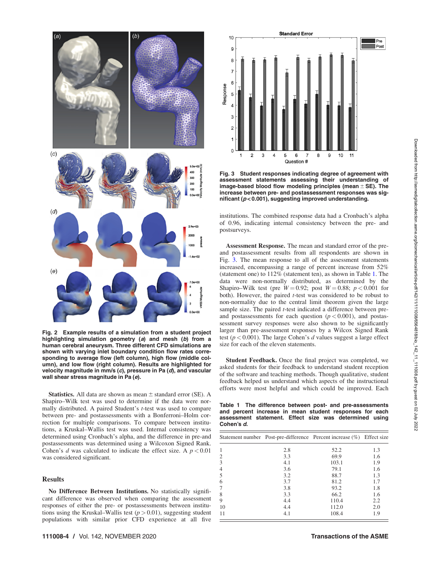<span id="page-3-0"></span>

Fig. 2 Example results of a simulation from a student project highlighting simulation geometry (a) and mesh (b) from a human cerebral aneurysm. Three different CFD simulations are shown with varying inlet boundary condition flow rates corresponding to average flow (left column), high flow (middle column), and low flow (right column). Results are highlighted for velocity magnitude in mm/s (c), pressure in Pa (d), and vascular wall shear stress magnitude in Pa (e).

**Statistics.** All data are shown as mean  $\pm$  standard error (SE). A Shapiro–Wilk test was used to determine if the data were normally distributed. A paired Student's t-test was used to compare between pre- and postassessments with a Bonferroni–Holm correction for multiple comparisons. To compare between institutions, a Kruskal–Wallis test was used. Internal consistency was determined using Cronbach's alpha, and the difference in pre-and postassessments was determined using a Wilcoxon Signed Rank. Cohen's d was calculated to indicate the effect size. A  $p < 0.01$ was considered significant.

### Results

No Difference Between Institutions. No statistically significant difference was observed when comparing the assessment responses of either the pre- or postassessments between institutions using the Kruskal–Wallis test  $(p > 0.01)$ , suggesting student populations with similar prior CFD experience at all five



Fig. 3 Student responses indicating degree of agreement with assessment statements assessing their understanding of image-based blood flow modeling principles (mean  $\pm$  SE). The increase between pre- and postassessment responses was significant ( $p < 0.001$ ), suggesting improved understanding.

institutions. The combined response data had a Cronbach's alpha of 0.96, indicating internal consistency between the pre- and postsurveys.

Assessment Response. The mean and standard error of the preand postassessment results from all respondents are shown in Fig. 3. The mean response to all of the assessment statements increased, encompassing a range of percent increase from 52% (statement one) to 112% (statement ten), as shown in Table 1. The data were non-normally distributed, as determined by the Shapiro–Wilk test (pre  $W = 0.92$ ; post  $W = 0.88$ ;  $p < 0.001$  for both). However, the paired  $t$ -test was considered to be robust to non-normality due to the central limit theorem given the large sample size. The paired *t*-test indicated a difference between preand postassessments for each question  $(p < 0.001)$ , and postassessment survey responses were also shown to be significantly larger than pre-assessment responses by a Wilcox Signed Rank test ( $p < 0.001$ ). The large Cohen's d values suggest a large effect size for each of the eleven statements.

Student Feedback. Once the final project was completed, we asked students for their feedback to understand student reception of the software and teaching methods. Though qualitative, student feedback helped us understand which aspects of the instructional efforts were most helpful and which could be improved. Each

Table 1 The difference between post- and pre-assessments and percent increase in mean student responses for each assessment statement. Effect size was determined using Cohen's d.

|                |     | Statement number Post-pre-difference Percent increase (%) Effect size |     |
|----------------|-----|-----------------------------------------------------------------------|-----|
|                | 2.8 | 52.2                                                                  | 1.3 |
| $\overline{c}$ | 3.3 | 69.9                                                                  | 1.6 |
| 3              | 4.1 | 103.1                                                                 | 1.9 |
|                | 3.6 | 79.1                                                                  | 1.6 |
| 5              | 3.2 | 88.7                                                                  | 1.3 |
| 6              | 3.7 | 81.2                                                                  | 1.7 |
|                | 3.8 | 93.2                                                                  | 1.8 |
| 8              | 3.3 | 66.2                                                                  | 1.6 |
| 9              | 4.4 | 110.4                                                                 | 2.2 |
| 10             | 4.4 | 112.0                                                                 | 2.0 |
| 11             | 4.1 | 108.4                                                                 | 1.9 |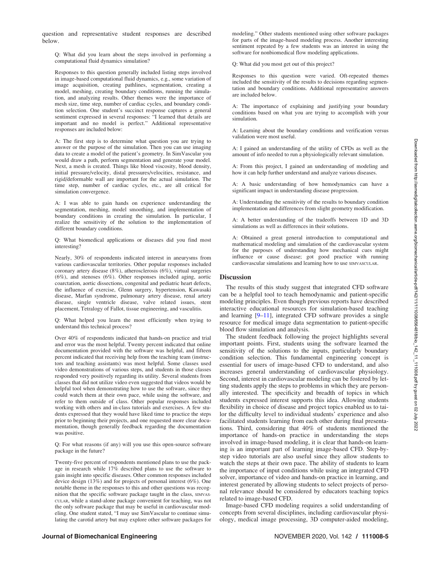question and representative student responses are described below.

Q: What did you learn about the steps involved in performing a computational fluid dynamics simulation?

Responses to this question generally included listing steps involved in image-based computational fluid dynamics, e.g., some variation of image acquisition, creating pathlines, segmentation, creating a model, meshing, creating boundary conditions, running the simulation, and analyzing results. Other themes were the importance of mesh size, time step, number of cardiac cycles, and boundary condition selection. One student's succinct response captures a general sentiment expressed in several responses: "I learned that details are important and no model is perfect." Additional representative responses are included below:

A: The first step is to determine what question you are trying to answer or the purpose of the simulation. Then you can use imaging data to create a model of the patient's geometry. In SimVascular you would draw a path, perform segmentation and generate your model. Next, a mesh is created. Things like blood viscosity, blood density, initial pressure/velocity, distal pressures/velocities, resistance, and rigid/deformable wall are important for the actual simulation. The time step, number of cardiac cycles, etc., are all critical for simulation convergence.

A: I was able to gain hands on experience understanding the segmentation, meshing, model smoothing, and implementation of boundary conditions in creating the simulation. In particular, I realize the sensitivity of the solution to the implementation of different boundary conditions.

Q: What biomedical applications or diseases did you find most interesting?

Nearly, 30% of respondents indicated interest in aneurysms from various cardiovascular territories. Other popular responses included coronary artery disease (8%), atherosclerosis (6%), virtual surgeries (6%), and stenoses (6%). Other responses included aging, aortic coarctation, aortic dissections, congenital and pediatric heart defects, the influence of exercise, Glenn surgery, hypertension, Kawasaki disease, Marfan syndrome, pulmonary artery disease, renal artery disease, single ventricle disease, valve related issues, stent placement, Tetralogy of Fallot, tissue engineering, and vasculitis.

Q: What helped you learn the most efficiently when trying to understand this technical process?

Over 40% of respondents indicated that hands-on practice and trial and error was the most helpful. Twenty percent indicated that online documentation provided with the software was helpful, and fifteen percent indicated that receiving help from the teaching team (instructors and teaching assistants) was most helpful. Some classes used video demonstrations of various steps, and students in those classes responded very positively regarding its utility. Several students from classes that did not utilize video even suggested that videos would be helpful tool when demonstrating how to use the software, since they could watch them at their own pace, while using the software, and refer to them outside of class. Other popular responses included working with others and in-class tutorials and exercises. A few students expressed that they would have liked time to practice the steps prior to beginning their projects, and one requested more clear documentation, though generally feedback regarding the documentation was positive.

Q: For what reasons (if any) will you use this open-source software package in the future?

Twenty-five percent of respondents mentioned plans to use the package in research while 17% described plans to use the software to gain insight into specific diseases. Other common responses included device design (13%) and for projects of personal interest (6%). One notable theme in the responses to this and other questions was recognition that the specific software package taught in the class, SIMVAS-CULAR, while a stand-alone package convenient for teaching, was not the only software package that may be useful in cardiovascular modeling. One student stated, "I may use SimVascular to continue simulating the carotid artery but may explore other software packages for

modeling." Other students mentioned using other software packages for parts of the image-based modeling process. Another interesting sentiment repeated by a few students was an interest in using the software for nonbiomedical flow modeling applications.

Q: What did you most get out of this project?

Responses to this question were varied. Oft-repeated themes included the sensitivity of the results to decisions regarding segmentation and boundary conditions. Additional representative answers are included below.

A: The importance of explaining and justifying your boundary conditions based on what you are trying to accomplish with your simulation.

A: Learning about the boundary conditions and verification versus validation were most useful.

A: I gained an understanding of the utility of CFDs as well as the amount of info needed to run a physiologically relevant simulation.

A: From this project, I gained an understanding of modeling and how it can help further understand and analyze various diseases.

A: A basic understanding of how hemodynamics can have a significant impact in understanding disease progression.

A: Understanding the sensitivity of the results to boundary condition implementation and differences from slight geometry modification.

A: A better understanding of the tradeoffs between 1D and 3D simulations as well as differences in their solutions.

A: Obtained a great general introduction to computational and mathematical modeling and simulation of the cardiovascular system for the purposes of understanding how mechanical cues might influence or cause disease; got good practice with running cardiovascular simulations and learning how to use SIMVASCULAR.

### **Discussion**

The results of this study suggest that integrated CFD software can be a helpful tool to teach hemodynamic and patient-specific modeling principles. Even though previous reports have described interactive educational resources for simulation-based teaching and learning [\[9–11](#page-6-0)], integrated CFD software provides a single resource for medical image data segmentation to patient-specific blood flow simulation and analysis.

The student feedback following the project highlights several important points. First, students using the software learned the sensitivity of the solutions to the inputs, particularly boundary condition selection. This fundamental engineering concept is essential for users of image-based CFD to understand, and also increases general understanding of cardiovascular physiology. Second, interest in cardiovascular modeling can be fostered by letting students apply the steps to problems in which they are personally interested. The specificity and breadth of topics in which students expressed interest supports this idea. Allowing students flexibility in choice of disease and project topics enabled us to tailor the difficulty level to individual students' experience and also facilitated students learning from each other during final presentations. Third, considering that 40% of students mentioned the importance of hands-on practice in understanding the steps involved in image-based modeling, it is clear that hands-on learning is an important part of learning image-based CFD. Step-bystep video tutorials are also useful since they allow students to watch the steps at their own pace. The ability of students to learn the importance of input conditions while using an integrated CFD solver, importance of video and hands-on practice in learning, and interest generated by allowing students to select projects of personal relevance should be considered by educators teaching topics related to image-based CFD.

Image-based CFD modeling requires a solid understanding of concepts from several disciplines, including cardiovascular physiology, medical image processing, 3D computer-aided modeling,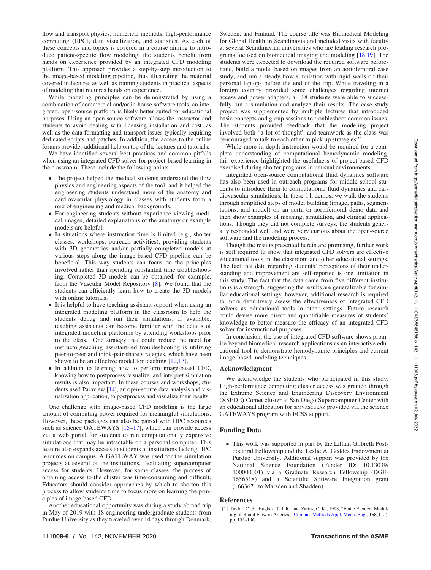<span id="page-5-0"></span>flow and transport physics, numerical methods, high-performance computing (HPC), data visualization, and statistics. As each of these concepts and topics is covered in a course aiming to introduce patient-specific flow modeling, the students benefit from hands on experience provided by an integrated CFD modeling platform. This approach provides a step-by-step introduction to the image-based modeling pipeline, thus illustrating the material covered in lectures as well as training students in practical aspects of modeling that requires hands on experience.

While modeling principles can be demonstrated by using a combination of commercial and/or in-house software tools, an integrated, open-source platform is likely better suited for educational purposes. Using an open-source software allows the instructor and students to avoid dealing with licensing installation and cost, as well as the data formatting and transport issues typically requiring dedicated scripts and patches. In addition, the access to the online forums provides additional help on top of the lectures and tutorials.

We have identified several best practices and common pitfalls when using an integrated CFD solver for project-based learning in the classroom. These include the following points.

- The project helped the medical students understand the flow physics and engineering aspects of the tool, and it helped the engineering students understand more of the anatomy and cardiovascular physiology in classes with students from a mix of engineering and medical backgrounds.
- For engineering students without experience viewing medical images, detailed explanations of the anatomy or example models are helpful.
- In situations where instruction time is limited (e.g., shorter classes, workshops, outreach activities), providing students with 3D geometries and/or partially completed models at various steps along the image-based CFD pipeline can be beneficial. This way students can focus on the principles involved rather than spending substantial time troubleshooting. Completed 3D models can be obtained, for example, from the Vascular Model Repository [\[8\]](#page-6-0). We found that the students can efficiently learn how to create the 3D models with online tutorials.
- It is helpful to have teaching assistant support when using an integrated modeling platform in the classroom to help the students debug and run their simulations. If available, teaching assistants can become familiar with the details of integrated modeling platforms by attending workshops prior to the class. One strategy that could reduce the need for instructor/teaching assistant-led troubleshooting is utilizing peer-to-peer and think-pair-share strategies, which have been shown to be an effective model for teaching [\[12,13](#page-6-0)].
- In addition to learning how to perform image-based CFD, knowing how to postprocess, visualize, and interpret simulation results is also important. In these courses and workshops, students used Paraview [\[14\]](#page-6-0), an open-source data analysis and visualization application, to postprocess and visualize their results.

One challenge with image-based CFD modeling is the large amount of computing power required for meaningful simulations. However, these packages can also be paired with HPC resources such as science GATEWAYS [[15–17](#page-6-0)], which can provide access via a web portal for students to run computationally expensive simulations that may be intractable on a personal computer. This feature also expands access to students at institutions lacking HPC resources on campus. A GATEWAY was used for the simulation projects at several of the institutions, facilitating supercomputer access for students. However, for some classes, the process of obtaining access to the cluster was time-consuming and difficult. Educators should consider approaches by which to shorten this process to allow students time to focus more on learning the principles of image-based CFD.

Another educational opportunity was during a study abroad trip in May of 2019 with 18 engineering undergraduate students from Purdue University as they traveled over 14 days through Denmark, Sweden, and Finland. The course title was Biomedical Modeling for Global Health in Scandinavia and included visits with faculty at several Scandinavian universities who are leading research programs focused on biomedical imaging and modeling [[18,19](#page-6-0)]. The students were expected to download the required software beforehand, build a model based on images from an aortofemoral case study, and run a steady flow simulation with rigid walls on their personal laptops before the end of the trip. While traveling in a foreign country provided some challenges regarding internet access and power adapters, all 18 students were able to successfully run a simulation and analyze their results. The case study project was supplemented by multiple lectures that introduced basic concepts and group sessions to troubleshoot common issues. The students provided feedback that the modeling project involved both "a lot of thought" and teamwork as the class was "encouraged to talk to each other to pick up strategies."

While more in-depth instruction would be required for a complete understanding of computational hemodynamic modeling, this experience highlighted the usefulness of project-based CFD exercised during shorter programs in unusual environments.

Integrated open-source computational fluid dynamics software has also been used in outreach programs for middle school students to introduce them to computational fluid dynamics and cardiovascular simulations. In these 1 h demos, we walk the students through simplified steps of model building (image, paths, segmentations, and model) on an aorta or aortafemoral demo data and then show examples of meshing, simulation, and clinical applications. Though they did not complete surveys, the students generally responded well and were very curious about the open-source software and the modeling process.

Though the results presented herein are promising, further work is still required to show that integrated CFD solvers are effective educational tools in the classroom and other educational settings. The fact that data regarding students' perceptions of their understanding and improvement are self-reported is one limitation in this study. The fact that the data came from five different institutions is a strength, suggesting the results are generalizable for similar educational settings; however, additional research is required to more definitively assess the effectiveness of integrated CFD solvers as educational tools in other settings. Future research could devise more direct and quantifiable measures of students' knowledge to better measure the efficacy of an integrated CFD solver for instructional purposes.

In conclusion, the use of integrated CFD software shows promise beyond biomedical research applications as an interactive educational tool to demonstrate hemodynamic principles and current image-based modeling techniques.

### Acknowledgment

We acknowledge the students who participated in this study. High-performance computing cluster access was granted through the Extreme Science and Engineering Discovery Environment (XSEDE) Comet cluster at San Diego Supercomputer Center with an educational allocation for SIMVASCULAR provided via the science GATEWAYS program with ECSS support.

### Funding Data

- This work was supported in part by the Lillian Gilbreth Postdoctoral Fellowship and the Leslie A. Geddes Endowment at Purdue University. Additional support was provided by the National Science Foundation (Funder ID: 10.13039/ 100000001) via a Graduate Research Fellowship (DGE-1656518) and a Scientific Software Integration grant (1663671 to Marsden and Shadden).

#### References

<sup>[1]</sup> Taylor, C. A., Hughes, T. J. R., and Zarins, C. K., 1998, "Finite Element Modeling of Blood Flow in Arteries," [Comput. Methods Appl. Mech. Eng.,](http://dx.doi.org/10.1016/S0045-7825(98)80008-X) 158(1–2), pp. 155–196.